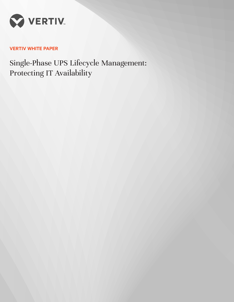

# **VERTIV WHITE PAPER**

Single-Phase UPS Lifecycle Management: Protecting IT Availability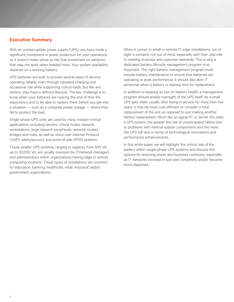## **Executive Summary**

With an uninterruptible power supply (UPS), you have made a significant investment in power protection for your operations, so it doesn't make sense to risk that investment on batteries that may not work when needed most. Your system availability depends on a working battery.

UPS batteries are built to provide several years of service, operating reliably even through repeated charging and occasional use while supporting critical loads. But like any battery, they have a defined lifecycle. The key challenge is to know when your batteries are nearing the end of their life expectancy and to be able to replace them before you get into a situation — such as a complete power outage — where they fail to protect the load.

Single-phase UPS units are used by many mission-critical applications, including servers, critical nodes, network workstations, large network peripherals, network routers, bridges and hubs, as well as Voice over Internet Protocol (VoIP), safety/security, and point-of-sale (POS) systems.

These smaller UPS systems, ranging in capacity from 500 VA up to 20,000 VA, are usually overseen by IT/network managers and administrators within organizations having edge or remote computing locations. These types of installations are common for education, banking, healthcare, retail, industrial, and/or government organizations.

When it comes to small or remote IT edge installations, out of sight is certainly not out of mind, especially with their vital role in meeting business and customer demands. This is why a dedicated battery lifecycle management program is so important. The right battery management program must include battery maintenance to ensure that batteries are operating at peak performance. It should also alert IT personnel when a battery is nearing time for replacement.

In addition to keeping an eye on battery health, a management program should enable oversight of the UPS itself. As a small UPS gets older, usually after being in service for more than five years, it may be more cost-efficient to consider a total replacement of the unit as opposed to just making another battery replacement. Much like an aging PC or server, the older a UPS system, the greater the risk of unanticipated failure due to problems with internal system components and the more the UPS will lack in terms of technological innovations and performance enhancements.

In this white paper, we will highlight the critical role of the battery within single-phase UPS systems and discuss the options for ensuring power and business continuity, especially as IT networks increase in size and complexity and/or become more dispersed.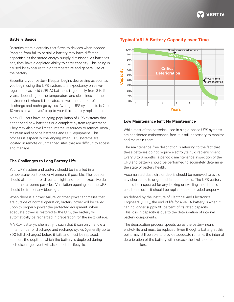

#### **Battery Basics**

Batteries store electricity that flows to devices when needed. Ranging from full to partial, a battery may have different capacities as the stored energy supply diminishes. As batteries age, they have a depleted ability to carry capacity. This aging is caused by exposure to high temperature and general use of the battery.

Essentially, your battery lifespan begins decreasing as soon as you begin using the UPS system. Life expectancy on valveregulated lead-acid (VRLA) batteries is generally from 3 to 5 years, depending on the temperature and cleanliness of the environment where it is located, as well the number of discharge and recharge cycles. Average UPS system life is 7 to 10 years or when you're up to your third battery replacement.

Many IT users have an aging population of UPS systems that either need new batteries or a complete system replacement. They may also have limited internal resources to remove, install, maintain and service batteries and UPS equipment. This process is especially challenging when UPS systems are located in remote or unmanned sites that are difficult to access and manage.

#### **The Challenges to Long Battery Life**

Your UPS system and battery should be installed in a temperature-controlled environment if possible. The location should also be out of direct sunlight and free of excessive dust and other airborne particles. Ventilation openings on the UPS should be free of any blockage.

When there is a power failure, or other power anomalies that are outside of normal operation, battery power will be called upon to properly power the protected equipment. When adequate power is restored to the UPS, the battery will automatically be recharged in preparation for the next outage.

A VRLA battery's chemistry is such that it can only handle a finite number of discharge and recharge cycles (generally up to 300 full discharges) before it fails and must be replaced. In addition, the depth to which the battery is depleted during each discharge event will also affect its lifecycle.

# **Typical VRLA Battery Capacity over Time**



#### **Low Maintenance Isn't No Maintenance**

While most of the batteries used in single-phase UPS systems are considered maintenance-free, it is still necessary to monitor and maintain them.

The maintenance-free description is referring to the fact that these batteries do not require electrolyte fluid replenishment. Every 3 to 6 months, a periodic maintenance inspection of the UPS and battery should be performed to accurately determine the state of battery health.

Accumulated dust, dirt, or debris should be removed to avoid any short circuits or ground fault conditions. The UPS battery should be inspected for any leaking or swelling, and if these conditions exist, it should be replaced and recycled properly.

As defined by the Institute of Electrical and Electronics Engineers (IEEE), the end of life for a VRLA battery is when it can no longer supply 80 percent of its rated capacity. This loss in capacity is due to the deterioration of internal battery components.

The degradation process speeds up as the battery nears end-of-life and must be replaced. Even though a battery at this point may still be able to provide adequate runtime, the internal deterioration of the battery will increase the likelihood of sudden failure.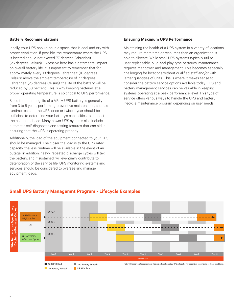### **Battery Recommendations**

Ideally, your UPS should be in a space that is cool and dry with proper ventilation. If possible, the temperature where the UPS is located should not exceed 77 degrees Fahrenheit (25 degrees Celsius). Excessive heat has a detrimental impact on overall battery life. It is important to remember that for approximately every 18 degrees Fahrenheit (10 degrees Celsius) above the ambient temperature of 77 degrees Fahrenheit (25 degrees Celsius), the life of the battery will be reduced by 50 percent. This is why keeping batteries at a proper operating temperature is so critical to UPS performance.

Since the operating life of a VRLA UPS battery is generally from 3 to 5 years, performing preventive maintenance, such as runtime tests on the UPS, once or twice a year should be sufficient to determine your battery's capabilities to support the connected load. Many newer UPS systems also include automatic self-diagnostic and testing features that can aid in ensuring that the UPS is operating properly.

Additionally, the load of the equipment connected to your UPS should be managed. The closer the load is to the UPS rated capacity, the less runtime will be available in the event of an outage. In addition, heavy, repeated discharge cycles will tax the battery, and if sustained, will eventually contribute to deterioration of the service life. UPS monitoring systems and services should be considered to oversee and manage equipment loads.

### **Ensuring Maximum UPS Performance**

Maintaining the health of a UPS system in a variety of locations may require more time or resources than an organization is able to allocate. While small UPS systems typically utilize user-replaceable, plug-and-play type batteries, maintenance requires manpower and management. This becomes especially challenging for locations without qualified staff and/or with larger quantities of units. This is where it makes sense to consider the battery service options available today. UPS and battery management services can be valuable in keeping systems operating at a peak performance level. This type of service offers various ways to handle the UPS and battery lifecycle maintenance program depending on user needs.



# **Small UPS Battery Managemnt Program - Lifecycle Examples**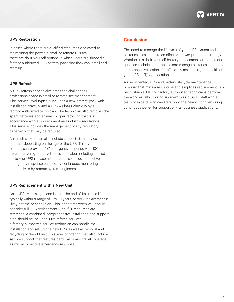

### **UPS Restoration**

In cases where there are qualified resources dedicated to maintaining the power in small or remote IT sites, there are do-it-yourself options in which users are shipped a factory-authorized UPS battery pack that they can install and start up.

### **UPS Refresh**

A UPS refresh service eliminates the challenges IT professionals face in small or remote site management. This service level typically includes a new battery pack with installation, startup, and a UPS wellness checkup by a factory-authorized technician. The technician also removes the spent batteries and ensures proper recycling that is in accordance with all government and industry regulations. This service includes the management of any regulatory paperwork that may be required.

A refresh service can also include support via a service contract depending on the age of the UPS. This type of support can provide 24x7 emergency response with 100 percent coverage of travel, parts, and labor including a failed battery or UPS replacement. It can also include proactive emergency response enabled by continuous monitoring and data analysis by remote system engineers.

#### **UPS Replacement with a New Unit**

As a UPS system ages and is near the end of its usable life, typically within a range of 7 to 10 years, battery replacement is likely not the best solution. This is the time when you should consider full UPS replacement. And if IT resources are stretched, a combined, comprehensive installation and support plan should be included. Like refresh services, a factory-authorized service technician can handle the installation and set-up of a new UPS, as well as removal and recycling of the old unit. This level of offering may also include service support that features parts, labor and travel coverage, as well as proactive emergency response.

## **Conclusion**

The need to manage the lifecycle of your UPS system and its batteries is essential to an effective power protection strategy. Whether it is do-it-yourself battery replacement or the use of a qualified technician to replace and manage batteries, there are comprehensive options for efficiently maintaining the health of your UPS in IT/edge locations.

A user-oriented, UPS and battery lifecycle maintenance program that maximizes uptime and simplifies replacement can be invaluable. Having factory-authorized technicians perform the work will allow you to augment your busy IT staff with a team of experts who can literally do the heavy lifting, ensuring continuous power for support of vital business applications.